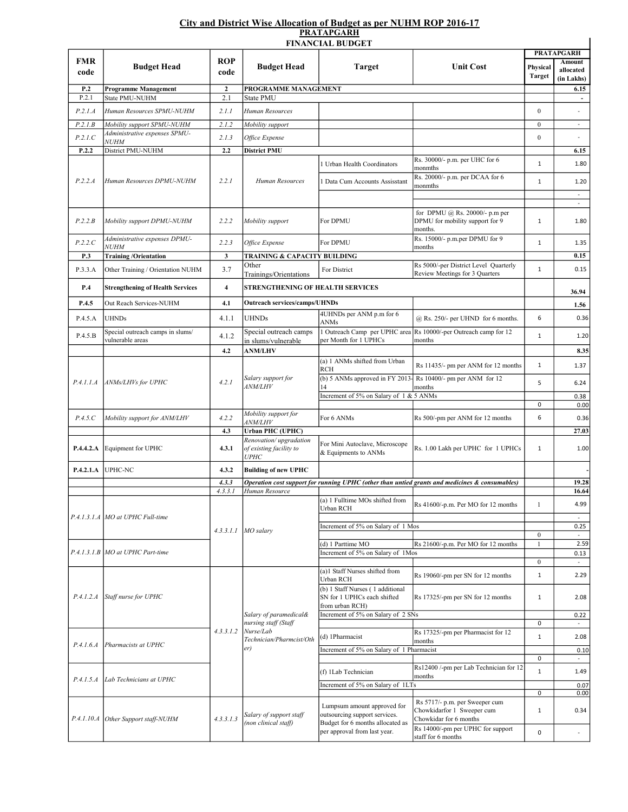## City and District Wise Allocation of Budget as per NUHM ROP 2016-17 PRATAPGARH

|                    |                                                      |                    |                                                                                                | <b>FINANCIAL BUDGET</b>                                                                                                          |                                                                                                | <b>PRATAPGARH</b>         |                                  |
|--------------------|------------------------------------------------------|--------------------|------------------------------------------------------------------------------------------------|----------------------------------------------------------------------------------------------------------------------------------|------------------------------------------------------------------------------------------------|---------------------------|----------------------------------|
| <b>FMR</b><br>code | <b>Budget Head</b>                                   | <b>ROP</b><br>code | <b>Budget Head</b>                                                                             | <b>Target</b>                                                                                                                    | <b>Unit Cost</b>                                                                               | Physical<br><b>Target</b> | <b>Amount</b><br>allocated       |
| P.2                | <b>Programme Management</b>                          | $\boldsymbol{2}$   | PROGRAMME MANAGEMENT                                                                           |                                                                                                                                  |                                                                                                |                           | (in Lakhs)<br>6.15               |
| P.2.1              | State PMU-NUHM                                       | 2.1                | State PMU                                                                                      |                                                                                                                                  |                                                                                                |                           | $\overline{\phantom{a}}$         |
| P.2.1.A            | Human Resources SPMU-NUHM                            | 2.1.1              | Human Resources                                                                                |                                                                                                                                  |                                                                                                | $\boldsymbol{0}$          |                                  |
| P.2.1.B            | Mobility support SPMU-NUHM                           | 2.1.2              | Mobility support                                                                               |                                                                                                                                  |                                                                                                | $\bf{0}$                  | $\overline{\phantom{a}}$         |
|                    | Administrative expenses SPMU-                        |                    |                                                                                                |                                                                                                                                  |                                                                                                |                           | $\sim$                           |
| P.2.1.C            | <b>NUHM</b>                                          | 2.1.3              | Office Expense                                                                                 |                                                                                                                                  |                                                                                                | $\boldsymbol{0}$          |                                  |
| P.2.2              | District PMU-NUHM                                    | 2.2                | <b>District PMU</b>                                                                            |                                                                                                                                  | Rs. 30000/- p.m. per UHC for 6                                                                 |                           | 6.15                             |
|                    | Human Resources DPMU-NUHM                            | 2.2.1              | Human Resources                                                                                | Urban Health Coordinators                                                                                                        | monmths                                                                                        | $\mathbf 1$               | 1.80                             |
| P.2.2.A            |                                                      |                    |                                                                                                | <b>Data Cum Accounts Assisstant</b>                                                                                              | Rs. 20000/- p.m. per DCAA for 6<br>monmths                                                     | $\mathbf{1}$              | 1.20<br>$\overline{\phantom{a}}$ |
|                    |                                                      |                    |                                                                                                |                                                                                                                                  |                                                                                                |                           | $\sim$                           |
| P.2.2.B            | Mobility support DPMU-NUHM                           | 2.2.2              | Mobility support                                                                               | For DPMU                                                                                                                         | for DPMU @ Rs. 20000/- p.m per<br>DPMU for mobility support for 9<br>months.                   | $\mathbf{1}$              | 1.80                             |
| P.2.2.C            | Administrative expenses DPMU-                        | 2.2.3              | Office Expense                                                                                 | For DPMU                                                                                                                         | Rs. 15000/- p.m.per DPMU for 9                                                                 | $\mathbf 1$               | 1.35                             |
| P.3                | <b>NUHM</b><br><b>Training /Orientation</b>          | 3                  | TRAINING & CAPACITY BUILDING                                                                   |                                                                                                                                  | months                                                                                         |                           | 0.15                             |
|                    |                                                      |                    | Other                                                                                          |                                                                                                                                  | Rs 5000/-per District Level Quarterly                                                          | $\mathbf{1}$              | 0.15                             |
| P.3.3.A            | Other Training / Orientation NUHM                    | 3.7                | Trainings/Orientations                                                                         | For District                                                                                                                     | Review Meetings for 3 Quarters                                                                 |                           |                                  |
| P.4                | <b>Strengthening of Health Services</b>              | 4                  | STRENGTHENING OF HEALTH SERVICES                                                               |                                                                                                                                  |                                                                                                |                           | 36.94                            |
| P.4.5              | Out Reach Services-NUHM                              | 4.1                | <b>Outreach services/camps/UHNDs</b>                                                           |                                                                                                                                  |                                                                                                |                           | 1.56                             |
|                    |                                                      |                    |                                                                                                | 4UHNDs per ANM p.m for 6                                                                                                         |                                                                                                |                           |                                  |
| P.4.5.A            | UHNDs                                                | 4.1.1              | <b>UHNDs</b>                                                                                   | ANMs                                                                                                                             | $@$ Rs. 250/- per UHND for 6 months.                                                           | 6                         | 0.36                             |
| P.4.5.B            | Special outreach camps in slums/<br>vulnerable areas | 4.1.2              | Special outreach camps<br>in slums/vulnerable                                                  | 1 Outreach Camp per UPHC area<br>per Month for 1 UPHCs                                                                           | Rs 10000/-per Outreach camp for 12<br>months                                                   | $\mathbf{1}$              | 1.20                             |
|                    |                                                      | 4.2                | <b>ANM/LHV</b>                                                                                 |                                                                                                                                  |                                                                                                |                           | 8.35                             |
|                    | ANMs/LHVs for UPHC                                   |                    | Salary support for<br><i>ANM/LHV</i>                                                           | (a) 1 ANMs shifted from Urban                                                                                                    |                                                                                                |                           |                                  |
|                    |                                                      | 4.2.1              |                                                                                                | <b>RCH</b>                                                                                                                       | Rs 11435/- pm per ANM for 12 months                                                            | $\mathbf{1}$              | 1.37                             |
| P.4.1.1.A          |                                                      |                    |                                                                                                | (b) 5 ANMs approved in FY 2013-<br>14                                                                                            | Rs 10400/- pm per ANM for 12<br>months                                                         | 5                         | 6.24                             |
|                    |                                                      |                    |                                                                                                | Increment of 5% on Salary of 1 & 5 ANMs                                                                                          |                                                                                                |                           | 0.38                             |
|                    |                                                      |                    |                                                                                                |                                                                                                                                  |                                                                                                | 0                         | 0.00                             |
| P.4.5.C            | Mobility support for ANM/LHV                         | 4.2.2              | Mobility support for<br><i>ANM/LHV</i>                                                         | For 6 ANMs                                                                                                                       | Rs 500/-pm per ANM for 12 months                                                               | 6                         | 0.36                             |
|                    |                                                      | 4.3                | <b>Urban PHC (UPHC)</b>                                                                        |                                                                                                                                  |                                                                                                |                           | 27.03                            |
| P.4.4.2.A          | Equipment for UPHC                                   | 4.3.1              | Renovation/upgradation<br>of existing facility to<br><b>UPHC</b>                               | For Mini Autoclave, Microscope<br>& Equipments to ANMs                                                                           | Rs. 1.00 Lakh per UPHC for 1 UPHCs                                                             | $\mathbf{1}$              | 1.00                             |
| P.4.2.1.A          | UPHC-NC                                              | 4.3.2              | <b>Building of new UPHC</b>                                                                    |                                                                                                                                  |                                                                                                |                           |                                  |
|                    |                                                      | 4.3.3              |                                                                                                |                                                                                                                                  | Operation cost support for running UPHC (other than untied grants and medicines & consumables) |                           | 19.28                            |
|                    |                                                      | 4.3.3.1            | Human Resource                                                                                 |                                                                                                                                  |                                                                                                |                           | 16.64                            |
|                    | P.4.1.3.1.A MO at UPHC Full-time                     |                    | $4.3.3.1.1$ MO salary                                                                          | (a) 1 Fulltime MOs shifted from<br>Urban RCH                                                                                     | Rs 41600/-p.m. Per MO for 12 months                                                            | $\mathbf{1}$              | 4.99<br>$\sim$                   |
|                    |                                                      |                    |                                                                                                | Increment of 5% on Salary of 1 Mos                                                                                               |                                                                                                |                           | 0.25                             |
|                    |                                                      |                    |                                                                                                |                                                                                                                                  |                                                                                                | $\bf{0}$                  |                                  |
|                    | P.4.1.3.1.B MO at UPHC Part-time                     |                    |                                                                                                | (d) 1 Parttime MO<br>Increment of 5% on Salary of 1Mos                                                                           | Rs 21600/-p.m. Per MO for 12 months                                                            | $\mathbf{1}$              | 2.59<br>0.13                     |
|                    |                                                      |                    |                                                                                                |                                                                                                                                  |                                                                                                | $\mathbf{0}$              | $\omega$                         |
|                    | Staff nurse for UPHC                                 | 4.3.3.1.2          | Salary of paramedical&<br>nursing staff (Staff<br>Nurse/Lab<br>Technician/Pharmcist/Oth<br>er) | (a)1 Staff Nurses shifted from<br>Urban RCH<br>(b) 1 Staff Nurses (1 additional                                                  | Rs 19060/-pm per SN for 12 months                                                              | $\mathbf{1}$              | 2.29                             |
| P.4.1.2.4          |                                                      |                    |                                                                                                | SN for 1 UPHCs each shifted<br>from urban RCH)                                                                                   | Rs 17325/-pm per SN for 12 months                                                              | $\mathbf{1}$              | 2.08                             |
|                    |                                                      |                    |                                                                                                | Increment of 5% on Salary of 2 SNs                                                                                               |                                                                                                |                           | 0.22                             |
|                    |                                                      |                    |                                                                                                |                                                                                                                                  | Rs 17325/-pm per Pharmacist for 12                                                             | 0                         | $\bar{\phantom{a}}$              |
| P.4.1.6.4          | Pharmacists at UPHC                                  |                    |                                                                                                | (d) 1Pharmacist                                                                                                                  | months                                                                                         | $\mathbf{1}$              | 2.08                             |
|                    |                                                      |                    |                                                                                                | Increment of 5% on Salary of 1 Pharmacist                                                                                        |                                                                                                |                           | 0.10                             |
|                    |                                                      |                    |                                                                                                |                                                                                                                                  | Rs12400 /-pm per Lab Technician for 12                                                         | 0                         | $\omega$                         |
| P.4.1.5.A          | Lab Technicians at UPHC                              |                    |                                                                                                | (f) 1Lab Technician                                                                                                              | months                                                                                         | $\mathbf{1}$              | 1.49                             |
|                    |                                                      |                    |                                                                                                | Increment of 5% on Salary of 1LTs                                                                                                |                                                                                                | 0                         | 0.07<br>0.00                     |
|                    |                                                      |                    |                                                                                                |                                                                                                                                  | Rs 5717/- p.m. per Sweeper cum                                                                 |                           |                                  |
| P.4.1.10.A         | Other Support staff-NUHM                             | 4.3.3.1.3          | Salary of support staff<br>(non clinical staff)                                                | Lumpsum amount approved for<br>outsourcing support services.<br>Budget for 6 months allocated as<br>per approval from last year. | Chowkidarfor 1 Sweeper cum<br>Chowkidar for 6 months<br>Rs 14000/-pm per UPHC for support      | $\mathbf{1}$              | 0.34                             |
|                    |                                                      |                    |                                                                                                |                                                                                                                                  | staff for 6 months                                                                             | 0                         | $\overline{\phantom{a}}$         |